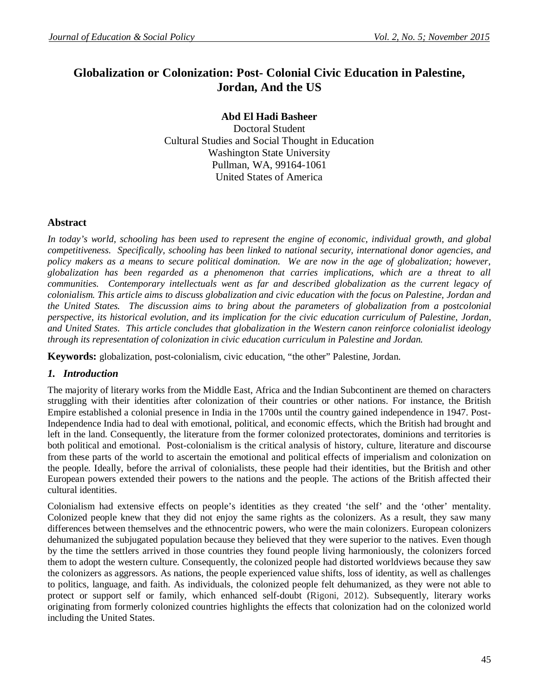# **Globalization or Colonization: Post- Colonial Civic Education in Palestine, Jordan, And the US**

**Abd El Hadi Basheer**

Doctoral Student Cultural Studies and Social Thought in Education Washington State University Pullman, WA, 99164-1061 United States of America

## **Abstract**

In today's world, schooling has been used to represent the engine of economic, individual growth, and global *competitiveness. Specifically, schooling has been linked to national security, international donor agencies, and*  policy makers as a means to secure political domination. We are now in the age of globalization; however, *globalization has been regarded as a phenomenon that carries implications, which are a threat to all communities. Contemporary intellectuals went as far and described globalization as the current legacy of colonialism. This article aims to discuss globalization and civic education with the focus on Palestine, Jordan and the United States. The discussion aims to bring about the parameters of globalization from a postcolonial perspective, its historical evolution, and its implication for the civic education curriculum of Palestine, Jordan, and United States. This article concludes that globalization in the Western canon reinforce colonialist ideology through its representation of colonization in civic education curriculum in Palestine and Jordan.* 

**Keywords:** globalization, post-colonialism, civic education, "the other" Palestine, Jordan.

## *1. Introduction*

The majority of literary works from the Middle East, Africa and the Indian Subcontinent are themed on characters struggling with their identities after colonization of their countries or other nations. For instance, the British Empire established a colonial presence in India in the 1700s until the country gained independence in 1947. Post-Independence India had to deal with emotional, political, and economic effects, which the British had brought and left in the land. Consequently, the literature from the former colonized protectorates, dominions and territories is both political and emotional. Post-colonialism is the critical analysis of history, culture, literature and discourse from these parts of the world to ascertain the emotional and political effects of imperialism and colonization on the people. Ideally, before the arrival of colonialists, these people had their identities, but the British and other European powers extended their powers to the nations and the people. The actions of the British affected their cultural identities.

Colonialism had extensive effects on people's identities as they created 'the self' and the 'other' mentality. Colonized people knew that they did not enjoy the same rights as the colonizers. As a result, they saw many differences between themselves and the ethnocentric powers, who were the main colonizers. European colonizers dehumanized the subjugated population because they believed that they were superior to the natives. Even though by the time the settlers arrived in those countries they found people living harmoniously, the colonizers forced them to adopt the western culture. Consequently, the colonized people had distorted worldviews because they saw the colonizers as aggressors. As nations, the people experienced value shifts, loss of identity, as well as challenges to politics, language, and faith. As individuals, the colonized people felt dehumanized, as they were not able to protect or support self or family, which enhanced self-doubt (Rigoni, 2012). Subsequently, literary works originating from formerly colonized countries highlights the effects that colonization had on the colonized world including the United States.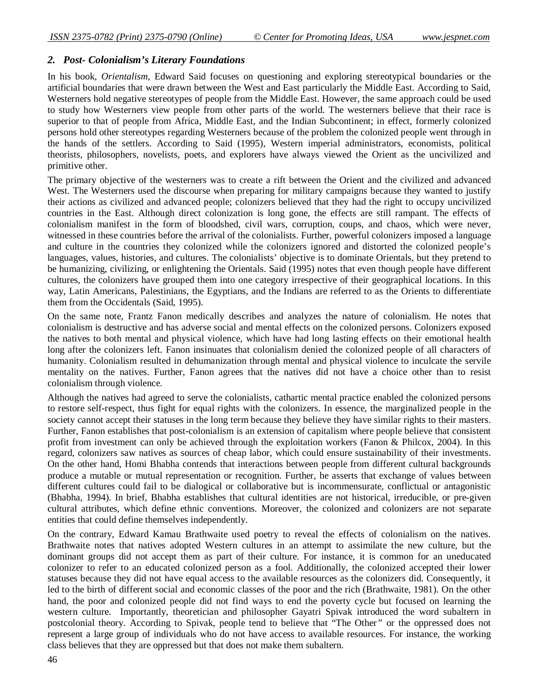## *2. Post- Colonialism's Literary Foundations*

In his book, *Orientalism,* Edward Said focuses on questioning and exploring stereotypical boundaries or the artificial boundaries that were drawn between the West and East particularly the Middle East. According to Said, Westerners hold negative stereotypes of people from the Middle East. However, the same approach could be used to study how Westerners view people from other parts of the world. The westerners believe that their race is superior to that of people from Africa, Middle East, and the Indian Subcontinent; in effect, formerly colonized persons hold other stereotypes regarding Westerners because of the problem the colonized people went through in the hands of the settlers. According to Said (1995), Western imperial administrators, economists, political theorists, philosophers, novelists, poets, and explorers have always viewed the Orient as the uncivilized and primitive other.

The primary objective of the westerners was to create a rift between the Orient and the civilized and advanced West. The Westerners used the discourse when preparing for military campaigns because they wanted to justify their actions as civilized and advanced people; colonizers believed that they had the right to occupy uncivilized countries in the East. Although direct colonization is long gone, the effects are still rampant. The effects of colonialism manifest in the form of bloodshed, civil wars, corruption, coups, and chaos, which were never, witnessed in these countries before the arrival of the colonialists. Further, powerful colonizers imposed a language and culture in the countries they colonized while the colonizers ignored and distorted the colonized people's languages, values, histories, and cultures. The colonialists' objective is to dominate Orientals, but they pretend to be humanizing, civilizing, or enlightening the Orientals. Said (1995) notes that even though people have different cultures, the colonizers have grouped them into one category irrespective of their geographical locations. In this way, Latin Americans, Palestinians, the Egyptians, and the Indians are referred to as the Orients to differentiate them from the Occidentals (Said, 1995).

On the same note, Frantz Fanon medically describes and analyzes the nature of colonialism. He notes that colonialism is destructive and has adverse social and mental effects on the colonized persons. Colonizers exposed the natives to both mental and physical violence, which have had long lasting effects on their emotional health long after the colonizers left. Fanon insinuates that colonialism denied the colonized people of all characters of humanity. Colonialism resulted in dehumanization through mental and physical violence to inculcate the servile mentality on the natives. Further, Fanon agrees that the natives did not have a choice other than to resist colonialism through violence.

Although the natives had agreed to serve the colonialists, cathartic mental practice enabled the colonized persons to restore self-respect, thus fight for equal rights with the colonizers. In essence, the marginalized people in the society cannot accept their statuses in the long term because they believe they have similar rights to their masters. Further, Fanon establishes that post-colonialism is an extension of capitalism where people believe that consistent profit from investment can only be achieved through the exploitation workers (Fanon & Philcox, 2004). In this regard, colonizers saw natives as sources of cheap labor, which could ensure sustainability of their investments. On the other hand, Homi Bhabha contends that interactions between people from different cultural backgrounds produce a mutable or mutual representation or recognition. Further, he asserts that exchange of values between different cultures could fail to be dialogical or collaborative but is incommensurate, conflictual or antagonistic (Bhabha, 1994). In brief, Bhabha establishes that cultural identities are not historical, irreducible, or pre-given cultural attributes, which define ethnic conventions. Moreover, the colonized and colonizers are not separate entities that could define themselves independently.

On the contrary, Edward Kamau Brathwaite used poetry to reveal the effects of colonialism on the natives. Brathwaite notes that natives adopted Western cultures in an attempt to assimilate the new culture, but the dominant groups did not accept them as part of their culture. For instance, it is common for an uneducated colonizer to refer to an educated colonized person as a fool. Additionally, the colonized accepted their lower statuses because they did not have equal access to the available resources as the colonizers did. Consequently, it led to the birth of different social and economic classes of the poor and the rich (Brathwaite, 1981). On the other hand, the poor and colonized people did not find ways to end the poverty cycle but focused on learning the western culture. Importantly, theoretician and philosopher Gayatri Spivak introduced the word subaltern in postcolonial theory. According to Spivak, people tend to believe that "The Other*"* or the oppressed does not represent a large group of individuals who do not have access to available resources. For instance, the working class believes that they are oppressed but that does not make them subaltern.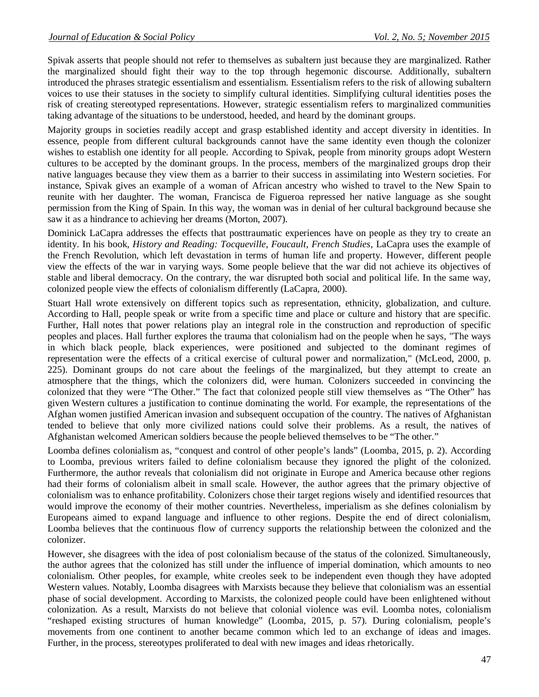Spivak asserts that people should not refer to themselves as subaltern just because they are marginalized. Rather the marginalized should fight their way to the top through hegemonic discourse. Additionally, subaltern introduced the phrases strategic essentialism and essentialism. Essentialism refers to the risk of allowing subaltern voices to use their statuses in the society to simplify cultural identities. Simplifying cultural identities poses the risk of creating stereotyped representations. However, strategic essentialism refers to marginalized communities taking advantage of the situations to be understood, heeded, and heard by the dominant groups.

Majority groups in societies readily accept and grasp established identity and accept diversity in identities. In essence, people from different cultural backgrounds cannot have the same identity even though the colonizer wishes to establish one identity for all people. According to Spivak, people from minority groups adopt Western cultures to be accepted by the dominant groups. In the process, members of the marginalized groups drop their native languages because they view them as a barrier to their success in assimilating into Western societies. For instance, Spivak gives an example of a woman of African ancestry who wished to travel to the New Spain to reunite with her daughter. The woman, Francisca de Figueroa repressed her native language as she sought permission from the King of Spain. In this way, the woman was in denial of her cultural background because she saw it as a hindrance to achieving her dreams (Morton, 2007).

Dominick LaCapra addresses the effects that posttraumatic experiences have on people as they try to create an identity. In his book, *History and Reading: Tocqueville, Foucault, French Studies*, LaCapra uses the example of the French Revolution, which left devastation in terms of human life and property. However, different people view the effects of the war in varying ways. Some people believe that the war did not achieve its objectives of stable and liberal democracy. On the contrary, the war disrupted both social and political life. In the same way, colonized people view the effects of colonialism differently (LaCapra, 2000).

Stuart Hall wrote extensively on different topics such as representation, ethnicity, globalization, and culture. According to Hall, people speak or write from a specific time and place or culture and history that are specific. Further, Hall notes that power relations play an integral role in the construction and reproduction of specific peoples and places. Hall further explores the trauma that colonialism had on the people when he says, "The ways in which black people, black experiences, were positioned and subjected to the dominant regimes of representation were the effects of a critical exercise of cultural power and normalization," (McLeod, 2000, p. 225). Dominant groups do not care about the feelings of the marginalized, but they attempt to create an atmosphere that the things, which the colonizers did, were human. Colonizers succeeded in convincing the colonized that they were "The Other." The fact that colonized people still view themselves as "The Other" has given Western cultures a justification to continue dominating the world. For example, the representations of the Afghan women justified American invasion and subsequent occupation of the country. The natives of Afghanistan tended to believe that only more civilized nations could solve their problems. As a result, the natives of Afghanistan welcomed American soldiers because the people believed themselves to be "The other."

Loomba defines colonialism as, "conquest and control of other people's lands" (Loomba, 2015, p. 2). According to Loomba, previous writers failed to define colonialism because they ignored the plight of the colonized. Furthermore, the author reveals that colonialism did not originate in Europe and America because other regions had their forms of colonialism albeit in small scale. However, the author agrees that the primary objective of colonialism was to enhance profitability. Colonizers chose their target regions wisely and identified resources that would improve the economy of their mother countries. Nevertheless, imperialism as she defines colonialism by Europeans aimed to expand language and influence to other regions. Despite the end of direct colonialism, Loomba believes that the continuous flow of currency supports the relationship between the colonized and the colonizer.

However, she disagrees with the idea of post colonialism because of the status of the colonized. Simultaneously, the author agrees that the colonized has still under the influence of imperial domination, which amounts to neo colonialism. Other peoples, for example, white creoles seek to be independent even though they have adopted Western values. Notably, Loomba disagrees with Marxists because they believe that colonialism was an essential phase of social development. According to Marxists, the colonized people could have been enlightened without colonization. As a result, Marxists do not believe that colonial violence was evil. Loomba notes, colonialism "reshaped existing structures of human knowledge" (Loomba, 2015, p. 57). During colonialism, people's movements from one continent to another became common which led to an exchange of ideas and images. Further, in the process, stereotypes proliferated to deal with new images and ideas rhetorically.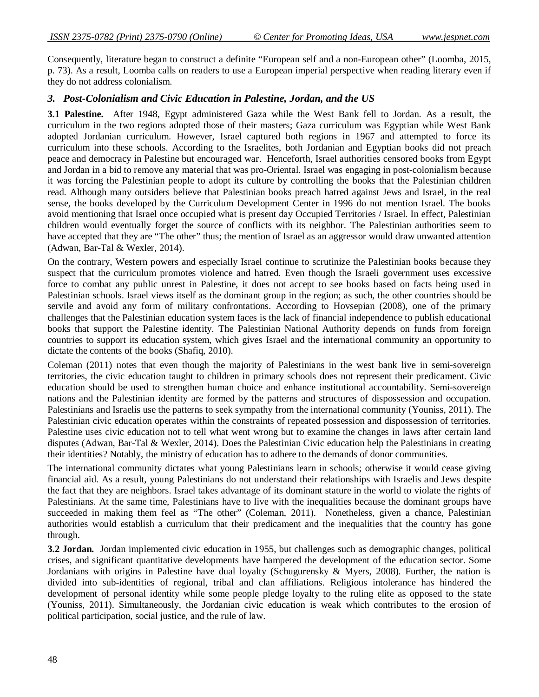Consequently, literature began to construct a definite "European self and a non-European other" (Loomba, 2015, p. 73). As a result, Loomba calls on readers to use a European imperial perspective when reading literary even if they do not address colonialism.

#### *3. Post-Colonialism and Civic Education in Palestine, Jordan, and the US*

**3.1 Palestine.** After 1948, Egypt administered Gaza while the West Bank fell to Jordan. As a result, the curriculum in the two regions adopted those of their masters; Gaza curriculum was Egyptian while West Bank adopted Jordanian curriculum. However, Israel captured both regions in 1967 and attempted to force its curriculum into these schools. According to the Israelites, both Jordanian and Egyptian books did not preach peace and democracy in Palestine but encouraged war. Henceforth, Israel authorities censored books from Egypt and Jordan in a bid to remove any material that was pro-Oriental. Israel was engaging in post-colonialism because it was forcing the Palestinian people to adopt its culture by controlling the books that the Palestinian children read. Although many outsiders believe that Palestinian books preach hatred against Jews and Israel, in the real sense, the books developed by the Curriculum Development Center in 1996 do not mention Israel. The books avoid mentioning that Israel once occupied what is present day Occupied Territories / Israel. In effect, Palestinian children would eventually forget the source of conflicts with its neighbor. The Palestinian authorities seem to have accepted that they are "The other" thus; the mention of Israel as an aggressor would draw unwanted attention (Adwan, Bar-Tal & Wexler, 2014).

On the contrary, Western powers and especially Israel continue to scrutinize the Palestinian books because they suspect that the curriculum promotes violence and hatred. Even though the Israeli government uses excessive force to combat any public unrest in Palestine, it does not accept to see books based on facts being used in Palestinian schools. Israel views itself as the dominant group in the region; as such, the other countries should be servile and avoid any form of military confrontations. According to Hovsepian (2008), one of the primary challenges that the Palestinian education system faces is the lack of financial independence to publish educational books that support the Palestine identity. The Palestinian National Authority depends on funds from foreign countries to support its education system, which gives Israel and the international community an opportunity to dictate the contents of the books (Shafiq, 2010).

Coleman (2011) notes that even though the majority of Palestinians in the west bank live in semi-sovereign territories, the civic education taught to children in primary schools does not represent their predicament. Civic education should be used to strengthen human choice and enhance institutional accountability. Semi-sovereign nations and the Palestinian identity are formed by the patterns and structures of dispossession and occupation. Palestinians and Israelis use the patterns to seek sympathy from the international community (Youniss, 2011). The Palestinian civic education operates within the constraints of repeated possession and dispossession of territories. Palestine uses civic education not to tell what went wrong but to examine the changes in laws after certain land disputes (Adwan, Bar-Tal & Wexler, 2014). Does the Palestinian Civic education help the Palestinians in creating their identities? Notably, the ministry of education has to adhere to the demands of donor communities.

The international community dictates what young Palestinians learn in schools; otherwise it would cease giving financial aid. As a result, young Palestinians do not understand their relationships with Israelis and Jews despite the fact that they are neighbors. Israel takes advantage of its dominant stature in the world to violate the rights of Palestinians. At the same time, Palestinians have to live with the inequalities because the dominant groups have succeeded in making them feel as "The other" (Coleman, 2011). Nonetheless, given a chance, Palestinian authorities would establish a curriculum that their predicament and the inequalities that the country has gone through.

**3.2 Jordan.** Jordan implemented civic education in 1955, but challenges such as demographic changes, political crises, and significant quantitative developments have hampered the development of the education sector. Some Jordanians with origins in Palestine have dual loyalty (Schugurensky & Myers, 2008). Further, the nation is divided into sub-identities of regional, tribal and clan affiliations. Religious intolerance has hindered the development of personal identity while some people pledge loyalty to the ruling elite as opposed to the state (Youniss, 2011). Simultaneously, the Jordanian civic education is weak which contributes to the erosion of political participation, social justice, and the rule of law.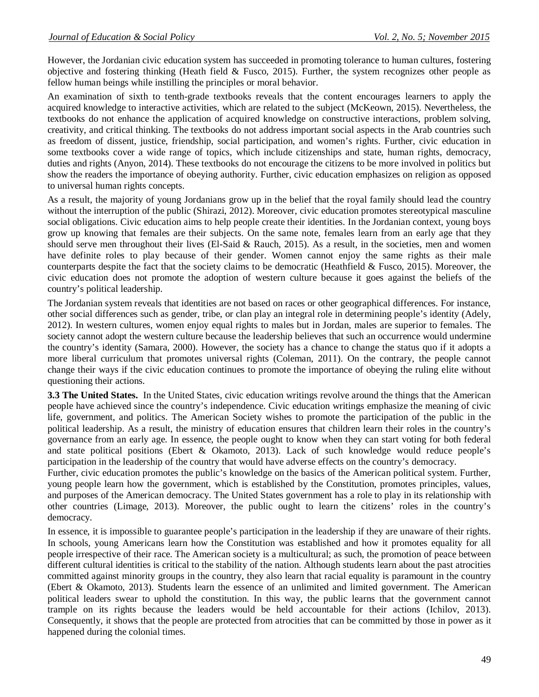However, the Jordanian civic education system has succeeded in promoting tolerance to human cultures, fostering objective and fostering thinking (Heath field  $&$  Fusco, 2015). Further, the system recognizes other people as fellow human beings while instilling the principles or moral behavior.

An examination of sixth to tenth-grade textbooks reveals that the content encourages learners to apply the acquired knowledge to interactive activities, which are related to the subject (McKeown, 2015). Nevertheless, the textbooks do not enhance the application of acquired knowledge on constructive interactions, problem solving, creativity, and critical thinking. The textbooks do not address important social aspects in the Arab countries such as freedom of dissent, justice, friendship, social participation, and women's rights. Further, civic education in some textbooks cover a wide range of topics, which include citizenships and state, human rights, democracy, duties and rights (Anyon, 2014). These textbooks do not encourage the citizens to be more involved in politics but show the readers the importance of obeying authority. Further, civic education emphasizes on religion as opposed to universal human rights concepts.

As a result, the majority of young Jordanians grow up in the belief that the royal family should lead the country without the interruption of the public (Shirazi, 2012). Moreover, civic education promotes stereotypical masculine social obligations. Civic education aims to help people create their identities. In the Jordanian context, young boys grow up knowing that females are their subjects. On the same note, females learn from an early age that they should serve men throughout their lives (El-Said & Rauch, 2015). As a result, in the societies, men and women have definite roles to play because of their gender. Women cannot enjoy the same rights as their male counterparts despite the fact that the society claims to be democratic (Heathfield & Fusco, 2015). Moreover, the civic education does not promote the adoption of western culture because it goes against the beliefs of the country's political leadership.

The Jordanian system reveals that identities are not based on races or other geographical differences. For instance, other social differences such as gender, tribe, or clan play an integral role in determining people's identity (Adely, 2012). In western cultures, women enjoy equal rights to males but in Jordan, males are superior to females. The society cannot adopt the western culture because the leadership believes that such an occurrence would undermine the country's identity (Samara, 2000). However, the society has a chance to change the status quo if it adopts a more liberal curriculum that promotes universal rights (Coleman, 2011). On the contrary, the people cannot change their ways if the civic education continues to promote the importance of obeying the ruling elite without questioning their actions.

**3.3 The United States.** In the United States, civic education writings revolve around the things that the American people have achieved since the country's independence. Civic education writings emphasize the meaning of civic life, government, and politics. The American Society wishes to promote the participation of the public in the political leadership. As a result, the ministry of education ensures that children learn their roles in the country's governance from an early age. In essence, the people ought to know when they can start voting for both federal and state political positions (Ebert & Okamoto, 2013). Lack of such knowledge would reduce people's participation in the leadership of the country that would have adverse effects on the country's democracy.

Further, civic education promotes the public's knowledge on the basics of the American political system. Further, young people learn how the government, which is established by the Constitution, promotes principles, values, and purposes of the American democracy. The United States government has a role to play in its relationship with other countries (Limage, 2013). Moreover, the public ought to learn the citizens' roles in the country's democracy.

In essence, it is impossible to guarantee people's participation in the leadership if they are unaware of their rights. In schools, young Americans learn how the Constitution was established and how it promotes equality for all people irrespective of their race. The American society is a multicultural; as such, the promotion of peace between different cultural identities is critical to the stability of the nation. Although students learn about the past atrocities committed against minority groups in the country, they also learn that racial equality is paramount in the country (Ebert & Okamoto, 2013). Students learn the essence of an unlimited and limited government. The American political leaders swear to uphold the constitution. In this way, the public learns that the government cannot trample on its rights because the leaders would be held accountable for their actions (Ichilov, 2013). Consequently, it shows that the people are protected from atrocities that can be committed by those in power as it happened during the colonial times.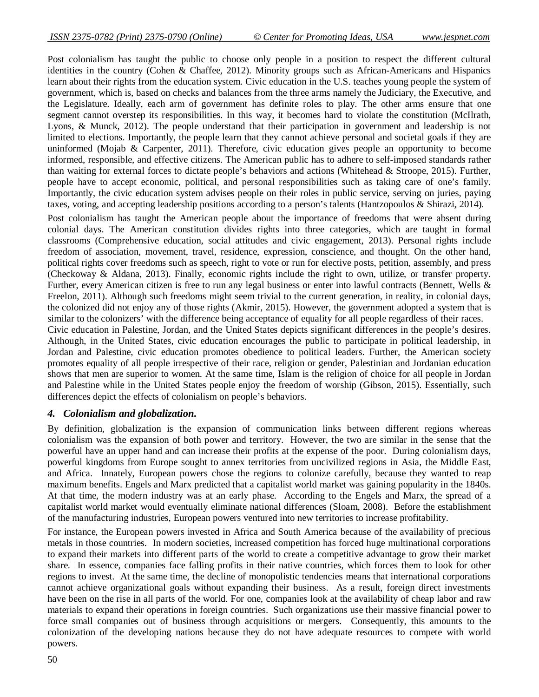Post colonialism has taught the public to choose only people in a position to respect the different cultural identities in the country (Cohen & Chaffee, 2012). Minority groups such as African-Americans and Hispanics learn about their rights from the education system. Civic education in the U.S. teaches young people the system of government, which is, based on checks and balances from the three arms namely the Judiciary, the Executive, and the Legislature. Ideally, each arm of government has definite roles to play. The other arms ensure that one segment cannot overstep its responsibilities. In this way, it becomes hard to violate the constitution (McIlrath, Lyons, & Munck, 2012). The people understand that their participation in government and leadership is not limited to elections. Importantly, the people learn that they cannot achieve personal and societal goals if they are uninformed (Mojab & Carpenter, 2011). Therefore, civic education gives people an opportunity to become informed, responsible, and effective citizens. The American public has to adhere to self-imposed standards rather than waiting for external forces to dictate people's behaviors and actions (Whitehead & Stroope, 2015). Further, people have to accept economic, political, and personal responsibilities such as taking care of one's family. Importantly, the civic education system advises people on their roles in public service, serving on juries, paying taxes, voting, and accepting leadership positions according to a person's talents (Hantzopoulos & Shirazi, 2014).

Post colonialism has taught the American people about the importance of freedoms that were absent during colonial days. The American constitution divides rights into three categories, which are taught in formal classrooms (Comprehensive education, social attitudes and civic engagement, 2013). Personal rights include freedom of association, movement, travel, residence, expression, conscience, and thought. On the other hand, political rights cover freedoms such as speech, right to vote or run for elective posts, petition, assembly, and press (Checkoway & Aldana, 2013). Finally, economic rights include the right to own, utilize, or transfer property. Further, every American citizen is free to run any legal business or enter into lawful contracts (Bennett, Wells & Freelon, 2011). Although such freedoms might seem trivial to the current generation, in reality, in colonial days, the colonized did not enjoy any of those rights (Akmir, 2015). However, the government adopted a system that is similar to the colonizers' with the difference being acceptance of equality for all people regardless of their races.

Civic education in Palestine, Jordan, and the United States depicts significant differences in the people's desires. Although, in the United States, civic education encourages the public to participate in political leadership, in Jordan and Palestine, civic education promotes obedience to political leaders. Further, the American society promotes equality of all people irrespective of their race, religion or gender, Palestinian and Jordanian education shows that men are superior to women. At the same time, Islam is the religion of choice for all people in Jordan and Palestine while in the United States people enjoy the freedom of worship (Gibson, 2015). Essentially, such differences depict the effects of colonialism on people's behaviors.

## *4. Colonialism and globalization.*

By definition, globalization is the expansion of communication links between different regions whereas colonialism was the expansion of both power and territory. However, the two are similar in the sense that the powerful have an upper hand and can increase their profits at the expense of the poor. During colonialism days, powerful kingdoms from Europe sought to annex territories from uncivilized regions in Asia, the Middle East, and Africa. Innately, European powers chose the regions to colonize carefully, because they wanted to reap maximum benefits. Engels and Marx predicted that a capitalist world market was gaining popularity in the 1840s. At that time, the modern industry was at an early phase. According to the Engels and Marx, the spread of a capitalist world market would eventually eliminate national differences (Sloam, 2008). Before the establishment of the manufacturing industries, European powers ventured into new territories to increase profitability.

For instance, the European powers invested in Africa and South America because of the availability of precious metals in those countries. In modern societies, increased competition has forced huge multinational corporations to expand their markets into different parts of the world to create a competitive advantage to grow their market share. In essence, companies face falling profits in their native countries, which forces them to look for other regions to invest. At the same time, the decline of monopolistic tendencies means that international corporations cannot achieve organizational goals without expanding their business. As a result, foreign direct investments have been on the rise in all parts of the world. For one, companies look at the availability of cheap labor and raw materials to expand their operations in foreign countries. Such organizations use their massive financial power to force small companies out of business through acquisitions or mergers. Consequently, this amounts to the colonization of the developing nations because they do not have adequate resources to compete with world powers.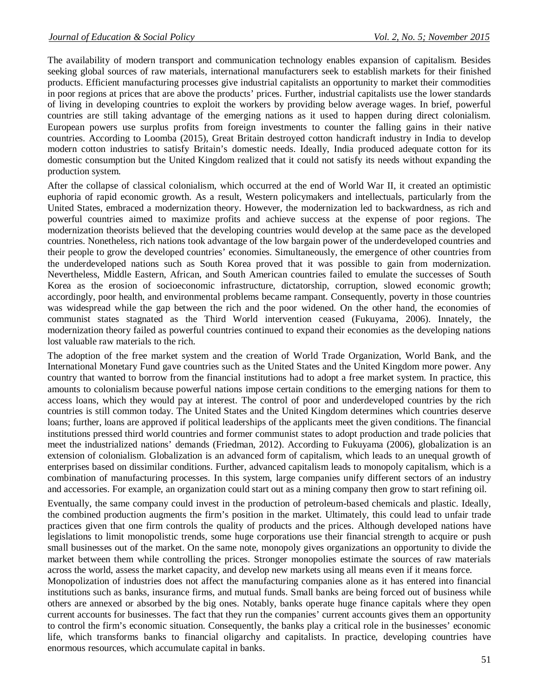The availability of modern transport and communication technology enables expansion of capitalism. Besides seeking global sources of raw materials, international manufacturers seek to establish markets for their finished products. Efficient manufacturing processes give industrial capitalists an opportunity to market their commodities in poor regions at prices that are above the products' prices. Further, industrial capitalists use the lower standards of living in developing countries to exploit the workers by providing below average wages. In brief, powerful countries are still taking advantage of the emerging nations as it used to happen during direct colonialism. European powers use surplus profits from foreign investments to counter the falling gains in their native countries. According to Loomba (2015), Great Britain destroyed cotton handicraft industry in India to develop modern cotton industries to satisfy Britain's domestic needs. Ideally, India produced adequate cotton for its domestic consumption but the United Kingdom realized that it could not satisfy its needs without expanding the production system.

After the collapse of classical colonialism, which occurred at the end of World War II, it created an optimistic euphoria of rapid economic growth. As a result, Western policymakers and intellectuals, particularly from the United States, embraced a modernization theory. However, the modernization led to backwardness, as rich and powerful countries aimed to maximize profits and achieve success at the expense of poor regions. The modernization theorists believed that the developing countries would develop at the same pace as the developed countries. Nonetheless, rich nations took advantage of the low bargain power of the underdeveloped countries and their people to grow the developed countries' economies. Simultaneously, the emergence of other countries from the underdeveloped nations such as South Korea proved that it was possible to gain from modernization. Nevertheless, Middle Eastern, African, and South American countries failed to emulate the successes of South Korea as the erosion of socioeconomic infrastructure, dictatorship, corruption, slowed economic growth; accordingly, poor health, and environmental problems became rampant. Consequently, poverty in those countries was widespread while the gap between the rich and the poor widened. On the other hand, the economies of communist states stagnated as the Third World intervention ceased (Fukuyama, 2006). Innately, the modernization theory failed as powerful countries continued to expand their economies as the developing nations lost valuable raw materials to the rich.

The adoption of the free market system and the creation of World Trade Organization, World Bank, and the International Monetary Fund gave countries such as the United States and the United Kingdom more power. Any country that wanted to borrow from the financial institutions had to adopt a free market system. In practice, this amounts to colonialism because powerful nations impose certain conditions to the emerging nations for them to access loans, which they would pay at interest. The control of poor and underdeveloped countries by the rich countries is still common today. The United States and the United Kingdom determines which countries deserve loans; further, loans are approved if political leaderships of the applicants meet the given conditions. The financial institutions pressed third world countries and former communist states to adopt production and trade policies that meet the industrialized nations' demands (Friedman, 2012). According to Fukuyama (2006), globalization is an extension of colonialism. Globalization is an advanced form of capitalism, which leads to an unequal growth of enterprises based on dissimilar conditions. Further, advanced capitalism leads to monopoly capitalism, which is a combination of manufacturing processes. In this system, large companies unify different sectors of an industry and accessories. For example, an organization could start out as a mining company then grow to start refining oil.

Eventually, the same company could invest in the production of petroleum-based chemicals and plastic. Ideally, the combined production augments the firm's position in the market. Ultimately, this could lead to unfair trade practices given that one firm controls the quality of products and the prices. Although developed nations have legislations to limit monopolistic trends, some huge corporations use their financial strength to acquire or push small businesses out of the market. On the same note, monopoly gives organizations an opportunity to divide the market between them while controlling the prices. Stronger monopolies estimate the sources of raw materials across the world, assess the market capacity, and develop new markets using all means even if it means force.

Monopolization of industries does not affect the manufacturing companies alone as it has entered into financial institutions such as banks, insurance firms, and mutual funds. Small banks are being forced out of business while others are annexed or absorbed by the big ones. Notably, banks operate huge finance capitals where they open current accounts for businesses. The fact that they run the companies' current accounts gives them an opportunity to control the firm's economic situation. Consequently, the banks play a critical role in the businesses' economic life, which transforms banks to financial oligarchy and capitalists. In practice, developing countries have enormous resources, which accumulate capital in banks.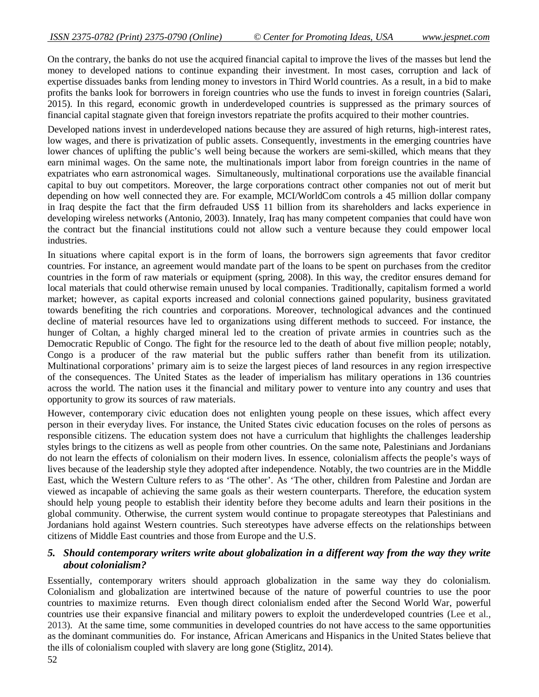On the contrary, the banks do not use the acquired financial capital to improve the lives of the masses but lend the money to developed nations to continue expanding their investment. In most cases, corruption and lack of expertise dissuades banks from lending money to investors in Third World countries. As a result, in a bid to make profits the banks look for borrowers in foreign countries who use the funds to invest in foreign countries (Salari, 2015). In this regard, economic growth in underdeveloped countries is suppressed as the primary sources of financial capital stagnate given that foreign investors repatriate the profits acquired to their mother countries.

Developed nations invest in underdeveloped nations because they are assured of high returns, high-interest rates, low wages, and there is privatization of public assets. Consequently, investments in the emerging countries have lower chances of uplifting the public's well being because the workers are semi-skilled, which means that they earn minimal wages. On the same note, the multinationals import labor from foreign countries in the name of expatriates who earn astronomical wages. Simultaneously, multinational corporations use the available financial capital to buy out competitors. Moreover, the large corporations contract other companies not out of merit but depending on how well connected they are. For example, MCI/WorldCom controls a 45 million dollar company in Iraq despite the fact that the firm defrauded US\$ 11 billion from its shareholders and lacks experience in developing wireless networks (Antonio, 2003). Innately, Iraq has many competent companies that could have won the contract but the financial institutions could not allow such a venture because they could empower local industries.

In situations where capital export is in the form of loans, the borrowers sign agreements that favor creditor countries. For instance, an agreement would mandate part of the loans to be spent on purchases from the creditor countries in the form of raw materials or equipment (spring, 2008). In this way, the creditor ensures demand for local materials that could otherwise remain unused by local companies. Traditionally, capitalism formed a world market; however, as capital exports increased and colonial connections gained popularity, business gravitated towards benefiting the rich countries and corporations. Moreover, technological advances and the continued decline of material resources have led to organizations using different methods to succeed. For instance, the hunger of Coltan, a highly charged mineral led to the creation of private armies in countries such as the Democratic Republic of Congo. The fight for the resource led to the death of about five million people; notably, Congo is a producer of the raw material but the public suffers rather than benefit from its utilization. Multinational corporations' primary aim is to seize the largest pieces of land resources in any region irrespective of the consequences. The United States as the leader of imperialism has military operations in 136 countries across the world. The nation uses it the financial and military power to venture into any country and uses that opportunity to grow its sources of raw materials.

However, contemporary civic education does not enlighten young people on these issues, which affect every person in their everyday lives. For instance, the United States civic education focuses on the roles of persons as responsible citizens. The education system does not have a curriculum that highlights the challenges leadership styles brings to the citizens as well as people from other countries. On the same note, Palestinians and Jordanians do not learn the effects of colonialism on their modern lives. In essence, colonialism affects the people's ways of lives because of the leadership style they adopted after independence. Notably, the two countries are in the Middle East, which the Western Culture refers to as 'The other'. As 'The other, children from Palestine and Jordan are viewed as incapable of achieving the same goals as their western counterparts. Therefore, the education system should help young people to establish their identity before they become adults and learn their positions in the global community. Otherwise, the current system would continue to propagate stereotypes that Palestinians and Jordanians hold against Western countries. Such stereotypes have adverse effects on the relationships between citizens of Middle East countries and those from Europe and the U.S.

## *5. Should contemporary writers write about globalization in a different way from the way they write about colonialism?*

Essentially, contemporary writers should approach globalization in the same way they do colonialism. Colonialism and globalization are intertwined because of the nature of powerful countries to use the poor countries to maximize returns. Even though direct colonialism ended after the Second World War, powerful countries use their expansive financial and military powers to exploit the underdeveloped countries (Lee et al., 2013). At the same time, some communities in developed countries do not have access to the same opportunities as the dominant communities do. For instance, African Americans and Hispanics in the United States believe that the ills of colonialism coupled with slavery are long gone (Stiglitz, 2014).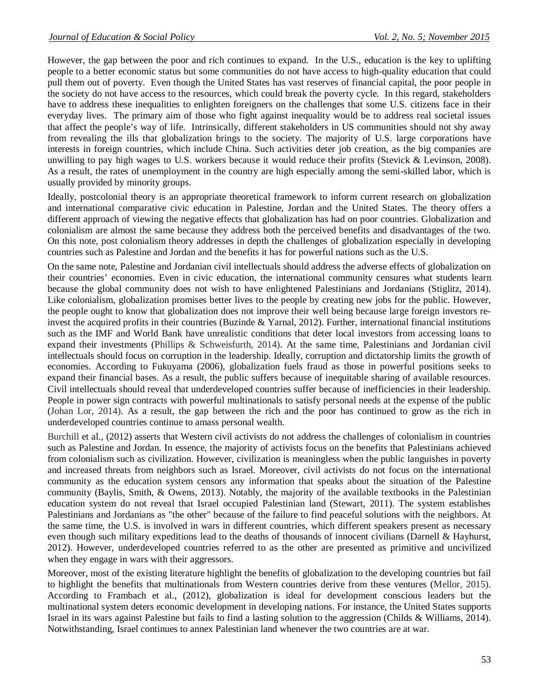However, the gap between the poor and rich continues to expand. In the U.S., education is the key to uplifting people to a better economic status but some communities do not have access to high-quality education that could pull them out of poverty. Even though the United States has vast reserves of financial capital, the poor people in the society do not have access to the resources, which could break the poverty cycle. In this regard, stakeholders have to address these inequalities to enlighten foreigners on the challenges that some U.S. citizens face in their everyday lives. The primary aim of those who fight against inequality would be to address real societal issues that affect the people's way of life. Intrinsically, different stakeholders in US communities should not shy away from revealing the ills that globalization brings to the society. The majority of U.S. large corporations have interests in foreign countries, which include China. Such activities deter job creation, as the big companies are unwilling to pay high wages to U.S. workers because it would reduce their profits (Stevick & Levinson, 2008). As a result, the rates of unemployment in the country are high especially among the semi-skilled labor, which is usually provided by minority groups.

Ideally, postcolonial theory is an appropriate theoretical framework to inform current research on globalization and international comparative civic education in Palestine, Jordan and the United States. The theory offers a different approach of viewing the negative effects that globalization has had on poor countries. Globalization and colonialism are almost the same because they address both the perceived benefits and disadvantages of the two. On this note, post colonialism theory addresses in depth the challenges of globalization especially in developing countries such as Palestine and Jordan and the benefits it has for powerful nations such as the U.S.

On the same note, Palestine and Jordanian civil intellectuals should address the adverse effects of globalization on their countries' economies. Even in civic education, the international community censures what students learn because the global community does not wish to have enlightened Palestinians and Jordanians (Stiglitz, 2014). Like colonialism, globalization promises better lives to the people by creating new jobs for the public. However, the people ought to know that globalization does not improve their well being because large foreign investors reinvest the acquired profits in their countries (Buzinde & Yarnal, 2012). Further, international financial institutions such as the IMF and World Bank have unrealistic conditions that deter local investors from accessing loans to expand their investments (Phillips & Schweisfurth, 2014). At the same time, Palestinians and Jordanian civil intellectuals should focus on corruption in the leadership. Ideally, corruption and dictatorship limits the growth of economies. According to Fukuyama (2006), globalization fuels fraud as those in powerful positions seeks to expand their financial bases. As a result, the public suffers because of inequitable sharing of available resources. Civil intellectuals should reveal that underdeveloped countries suffer because of inefficiencies in their leadership. People in power sign contracts with powerful multinationals to satisfy personal needs at the expense of the public (Johan Lor, 2014). As a result, the gap between the rich and the poor has continued to grow as the rich in underdeveloped countries continue to amass personal wealth.

Burchill et al., (2012) asserts that Western civil activists do not address the challenges of colonialism in countries such as Palestine and Jordan. In essence, the majority of activists focus on the benefits that Palestinians achieved from colonialism such as civilization. However, civilization is meaningless when the public languishes in poverty and increased threats from neighbors such as Israel. Moreover, civil activists do not focus on the international community as the education system censors any information that speaks about the situation of the Palestine community (Baylis, Smith, & Owens, 2013). Notably, the majority of the available textbooks in the Palestinian education system do not reveal that Israel occupied Palestinian land (Stewart, 2011). The system establishes Palestinians and Jordanians as "the other" because of the failure to find peaceful solutions with the neighbors. At the same time, the U.S. is involved in wars in different countries, which different speakers present as necessary even though such military expeditions lead to the deaths of thousands of innocent civilians (Darnell & Hayhurst, 2012). However, underdeveloped countries referred to as the other are presented as primitive and uncivilized when they engage in wars with their aggressors.

Moreover, most of the existing literature highlight the benefits of globalization to the developing countries but fail to highlight the benefits that multinationals from Western countries derive from these ventures (Mellor, 2015). According to Frambach et al., (2012), globalization is ideal for development conscious leaders but the multinational system deters economic development in developing nations. For instance, the United States supports Israel in its wars against Palestine but fails to find a lasting solution to the aggression (Childs & Williams, 2014). Notwithstanding, Israel continues to annex Palestinian land whenever the two countries are at war.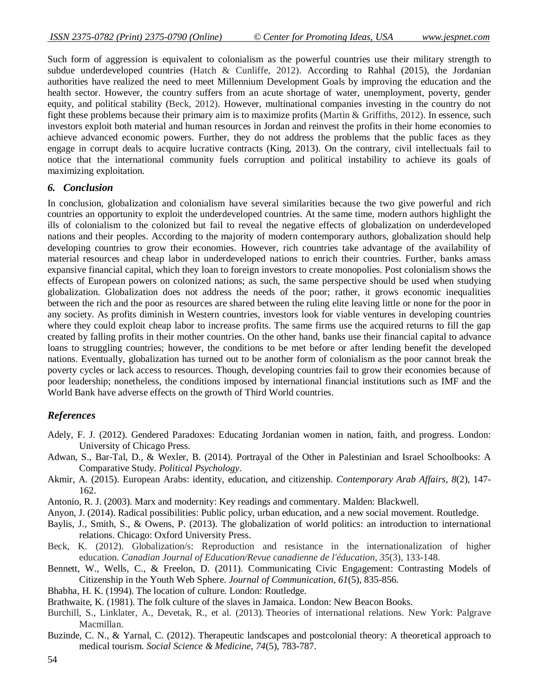Such form of aggression is equivalent to colonialism as the powerful countries use their military strength to subdue underdeveloped countries (Hatch & Cunliffe, 2012). According to Rahhal (2015), the Jordanian authorities have realized the need to meet Millennium Development Goals by improving the education and the health sector. However, the country suffers from an acute shortage of water, unemployment, poverty, gender equity, and political stability (Beck, 2012). However, multinational companies investing in the country do not fight these problems because their primary aim is to maximize profits (Martin & Griffiths, 2012). In essence, such investors exploit both material and human resources in Jordan and reinvest the profits in their home economies to achieve advanced economic powers. Further, they do not address the problems that the public faces as they engage in corrupt deals to acquire lucrative contracts (King, 2013). On the contrary, civil intellectuals fail to notice that the international community fuels corruption and political instability to achieve its goals of maximizing exploitation.

#### *6. Conclusion*

In conclusion, globalization and colonialism have several similarities because the two give powerful and rich countries an opportunity to exploit the underdeveloped countries. At the same time, modern authors highlight the ills of colonialism to the colonized but fail to reveal the negative effects of globalization on underdeveloped nations and their peoples. According to the majority of modern contemporary authors, globalization should help developing countries to grow their economies. However, rich countries take advantage of the availability of material resources and cheap labor in underdeveloped nations to enrich their countries. Further, banks amass expansive financial capital, which they loan to foreign investors to create monopolies. Post colonialism shows the effects of European powers on colonized nations; as such, the same perspective should be used when studying globalization. Globalization does not address the needs of the poor; rather, it grows economic inequalities between the rich and the poor as resources are shared between the ruling elite leaving little or none for the poor in any society. As profits diminish in Western countries, investors look for viable ventures in developing countries where they could exploit cheap labor to increase profits. The same firms use the acquired returns to fill the gap created by falling profits in their mother countries. On the other hand, banks use their financial capital to advance loans to struggling countries; however, the conditions to be met before or after lending benefit the developed nations. Eventually, globalization has turned out to be another form of colonialism as the poor cannot break the poverty cycles or lack access to resources. Though, developing countries fail to grow their economies because of poor leadership; nonetheless, the conditions imposed by international financial institutions such as IMF and the World Bank have adverse effects on the growth of Third World countries.

#### *References*

- Adely, F. J. (2012). Gendered Paradoxes: Educating Jordanian women in nation, faith, and progress. London: University of Chicago Press.
- Adwan, S., Bar-Tal, D., & Wexler, B. (2014). Portrayal of the Other in Palestinian and Israel Schoolbooks: A Comparative Study. *Political Psychology*.
- Akmir, A. (2015). European Arabs: identity, education, and citizenship. *Contemporary Arab Affairs*, *8*(2), 147- 162.
- Antonio, R. J. (2003). Marx and modernity: Key readings and commentary. Malden: Blackwell.
- Anyon, J. (2014). Radical possibilities: Public policy, urban education, and a new social movement. Routledge.
- Baylis, J., Smith, S., & Owens, P. (2013). The globalization of world politics: an introduction to international relations. Chicago: Oxford University Press.
- Beck, K. (2012). Globalization/s: Reproduction and resistance in the internationalization of higher education. *Canadian Journal of Education/Revue canadienne de l'éducation*, *35*(3), 133-148.
- Bennett, W., Wells, C., & Freelon, D. (2011). Communicating Civic Engagement: Contrasting Models of Citizenship in the Youth Web Sphere. *Journal of Communication*, *61*(5), 835-856.
- Bhabha, H. K. (1994). The location of culture. London: Routledge.
- Brathwaite, K. (1981). The folk culture of the slaves in Jamaica. London: New Beacon Books.
- Burchill, S., Linklater, A., Devetak, R., et al. (2013). Theories of international relations. New York: Palgrave Macmillan.
- Buzinde, C. N., & Yarnal, C. (2012). Therapeutic landscapes and postcolonial theory: A theoretical approach to medical tourism. *Social Science & Medicine, 74*(5), 783-787.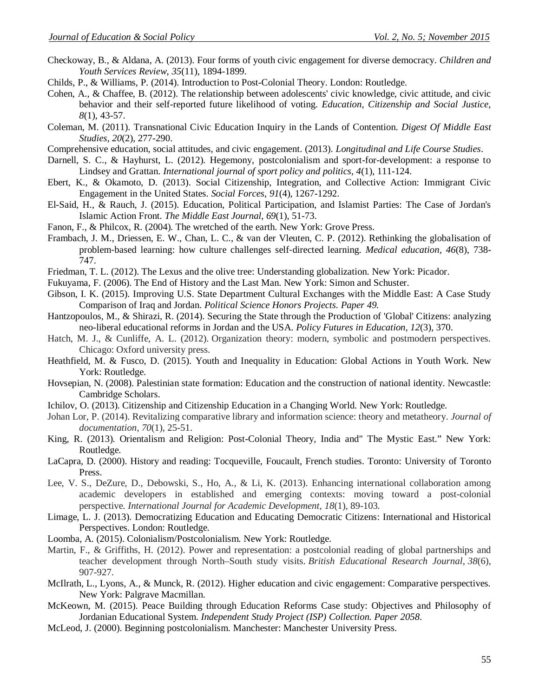- Checkoway, B., & Aldana, A. (2013). Four forms of youth civic engagement for diverse democracy. *Children and Youth Services Review*, *35*(11), 1894-1899.
- Childs, P., & Williams, P. (2014). Introduction to Post-Colonial Theory. London: Routledge.
- Cohen, A., & Chaffee, B. (2012). The relationship between adolescents' civic knowledge, civic attitude, and civic behavior and their self-reported future likelihood of voting. *Education, Citizenship and Social Justice*, *8*(1), 43-57.
- Coleman, M. (2011). Transnational Civic Education Inquiry in the Lands of Contention. *Digest Of Middle East Studies*, *20*(2), 277-290.
- Comprehensive education, social attitudes, and civic engagement. (2013). *Longitudinal and Life Course Studies*.
- Darnell, S. C., & Hayhurst, L. (2012). Hegemony, postcolonialism and sport-for-development: a response to Lindsey and Grattan. *International journal of sport policy and politics, 4*(1), 111-124.
- Ebert, K., & Okamoto, D. (2013). Social Citizenship, Integration, and Collective Action: Immigrant Civic Engagement in the United States. *Social Forces*, *91*(4), 1267-1292.
- El-Said, H., & Rauch, J. (2015). Education, Political Participation, and Islamist Parties: The Case of Jordan's Islamic Action Front. *The Middle East Journal*, *69*(1), 51-73.
- Fanon, F., & Philcox, R. (2004). The wretched of the earth. New York: Grove Press.
- Frambach, J. M., Driessen, E. W., Chan, L. C., & van der Vleuten, C. P. (2012). Rethinking the globalisation of problem‐based learning: how culture challenges self‐directed learning. *Medical education, 46*(8), 738- 747.
- Friedman, T. L. (2012). The Lexus and the olive tree: Understanding globalization. New York: Picador.
- Fukuyama, F. (2006). The End of History and the Last Man. New York: Simon and Schuster.
- Gibson, I. K. (2015). Improving U.S. State Department Cultural Exchanges with the Middle East: A Case Study Comparison of Iraq and Jordan. *Political Science Honors Projects. Paper 49.*
- Hantzopoulos, M., & Shirazi, R. (2014). Securing the State through the Production of 'Global' Citizens: analyzing neo-liberal educational reforms in Jordan and the USA. *Policy Futures in Education*, *12*(3), 370.
- Hatch, M. J., & Cunliffe, A. L. (2012). Organization theory: modern, symbolic and postmodern perspectives. Chicago: Oxford university press.
- Heathfield, M. & Fusco, D. (2015). Youth and Inequality in Education: Global Actions in Youth Work. New York: Routledge.
- Hovsepian, N. (2008). Palestinian state formation: Education and the construction of national identity. Newcastle: Cambridge Scholars.
- Ichilov, O. (2013). Citizenship and Citizenship Education in a Changing World. New York: Routledge.
- Johan Lor, P. (2014). Revitalizing comparative library and information science: theory and metatheory. *Journal of documentation*, *70*(1), 25-51.
- King, R. (2013). Orientalism and Religion: Post-Colonial Theory, India and" The Mystic East." New York: Routledge.
- LaCapra, D. (2000). History and reading: Tocqueville, Foucault, French studies. Toronto: University of Toronto Press.
- Lee, V. S., DeZure, D., Debowski, S., Ho, A., & Li, K. (2013). Enhancing international collaboration among academic developers in established and emerging contexts: moving toward a post-colonial perspective. *International Journal for Academic Development*, *18*(1), 89-103.
- Limage, L. J. (2013). Democratizing Education and Educating Democratic Citizens: International and Historical Perspectives. London: Routledge.
- Loomba, A. (2015). Colonialism/Postcolonialism. New York: Routledge.
- Martin, F., & Griffiths, H. (2012). Power and representation: a postcolonial reading of global partnerships and teacher development through North–South study visits. *British Educational Research Journal*, *38*(6), 907-927.
- McIlrath, L., Lyons, A., & Munck, R. (2012). Higher education and civic engagement: Comparative perspectives*.* New York: Palgrave Macmillan.
- McKeown, M. (2015). Peace Building through Education Reforms Case study: Objectives and Philosophy of Jordanian Educational System. *Independent Study Project (ISP) Collection. Paper 2058*.
- McLeod, J. (2000). Beginning postcolonialism. Manchester: Manchester University Press.